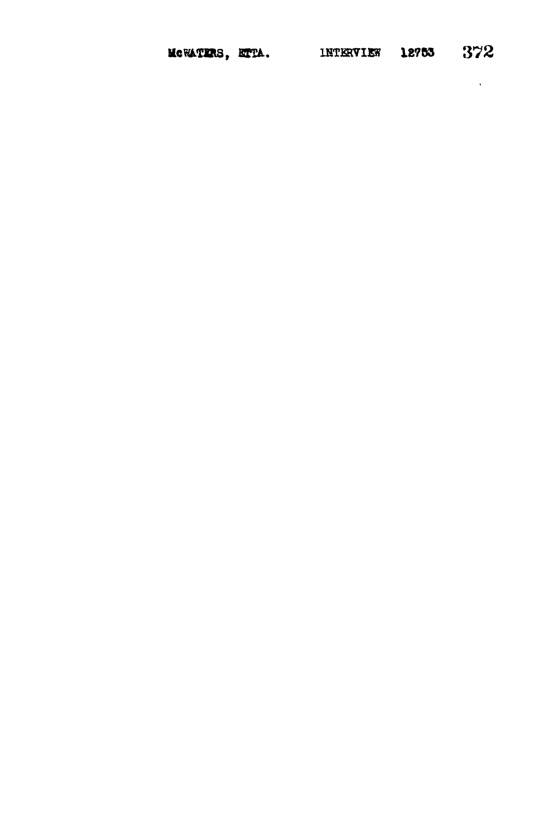MCWATERS, ETTA. INTERVIEW 12753 372

 $\sim 100$  km s  $^{-1}$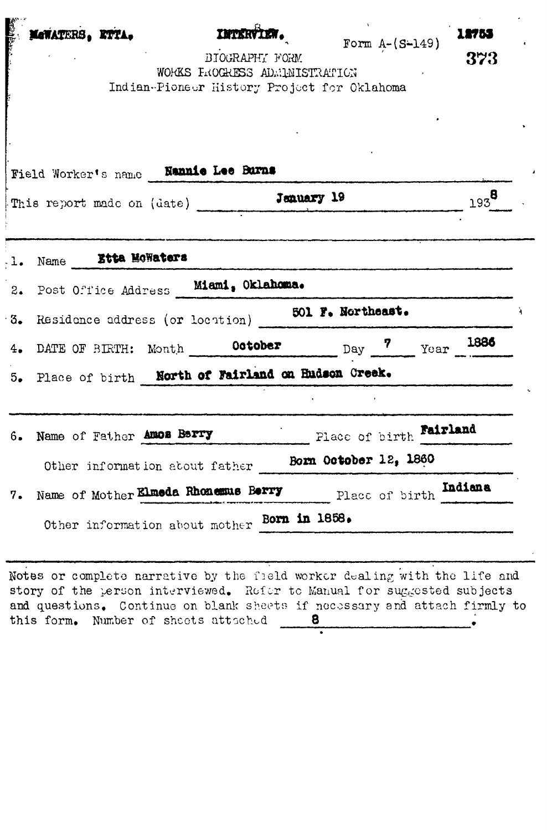| MOWATERS, ETTA,<br><b>IMTERVIEW.</b><br>Form $A-(S-149)$<br><b>BIOGRAPHT FORM</b><br>WORKS FROGRESS ADMINISTRATION<br>Indian-Pioneer History Project for Oklahoma | 12753<br>373 |
|-------------------------------------------------------------------------------------------------------------------------------------------------------------------|--------------|
| Field Worker's name <b>Namnie Lee Burns</b>                                                                                                                       |              |
| This report made on (date) January 19                                                                                                                             | $193^8$      |
| 1. Name <b>Etta MoWaters</b>                                                                                                                                      |              |
| 2. Post Office Address Miami, Oklahoma.                                                                                                                           |              |
| 3. Residence address (or location) 501 F. Northeast.                                                                                                              |              |
|                                                                                                                                                                   |              |
| 5. Place of birth North of Fairland on Hudson Greek.                                                                                                              |              |
|                                                                                                                                                                   |              |
| Place of birth Fairland<br>Name of Father Amos Berry<br>6.                                                                                                        |              |
| <b>Born October 12, 1860</b><br>Other information about father                                                                                                    |              |
| 7. Name of Mother Elmeda Rhonemus Berry Place of birth Indiana                                                                                                    |              |
| Other information about mother Born in 1858.                                                                                                                      |              |
|                                                                                                                                                                   |              |

Notes or complete narrative by the field worker dealing with the life and story of the person interviewed. Refer to Manual for suggested subjects and questions. Continue on blank sheets if necessary and attach firmly to this form. Number of sheets attached 8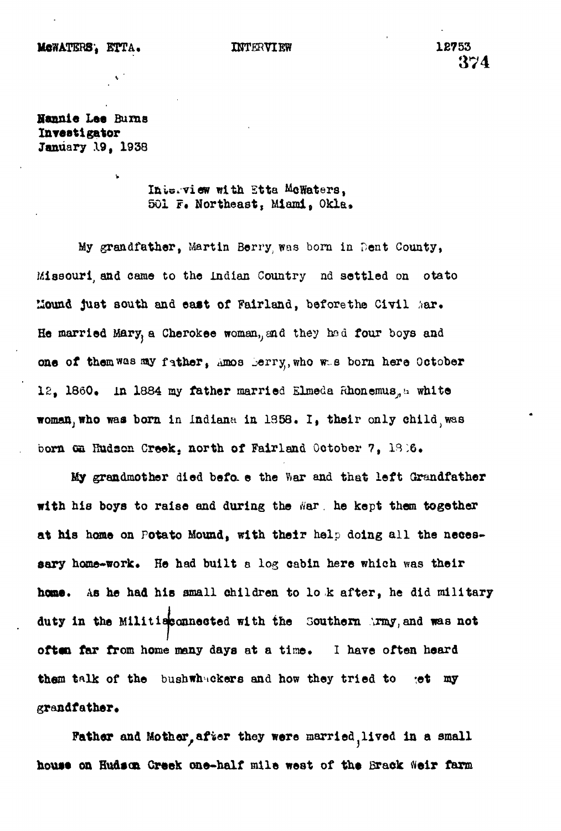**Hannie Lee Bums Investigator January .19, 1938**

k.

**lais\*view with Etta MoWaters,** 501 F. Northeast, Miami, Okla.

**My grandfather, Martin Berry, was born in Dent County, Missouri, and came to the Indian Country nd settled on otato Mound just south and east of Fairland, before the Civil /far. He married Mary<sub>i</sub>a Cherokee woman**, and they hod four boys and one of them was my father, Amos Berry, who wis born here October 12, 1860. In 1884 my father married Elmeda Rhonemus, a white **woman, who was born in Indiana in 1S58. I, their only child}was** born GB Hudson Creek, north of Fairland October 7, 13:6.

My grandmother died befo e the War and that left Grandfather **with his boys to raise end during the ftar. he kept them together at his home on Potato Mound, with their help doing all the neces~ sary home-work. He had built a log cabin here which was their home. As he had his small children to lo k after, he did military duty in the Mllitiafeonneated with the Southern Army, and was not** often far from home many days at a time. I have often heard them talk of the bushwhackers and how they tried to :et my **grandfather\***

Father and Mother, after they were married, lived in a small house on Hudson Greek one-half mile west of the Brack Weir farm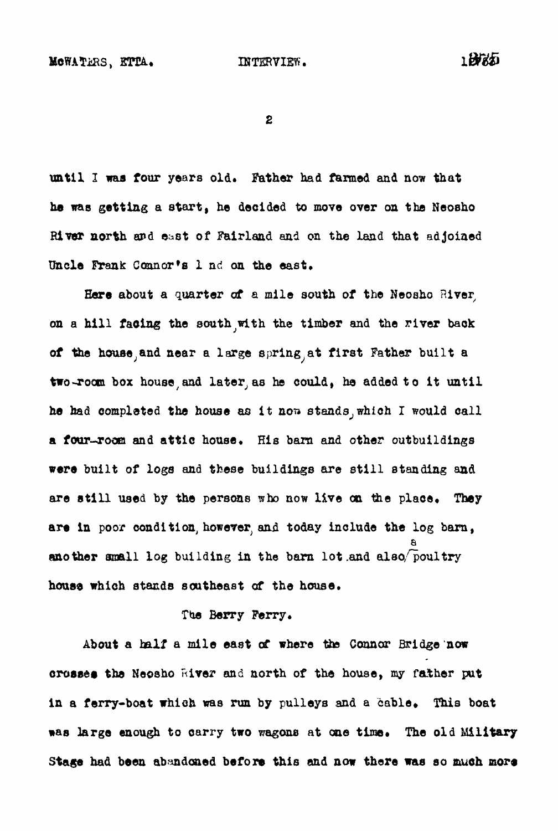$\mathbf{2}$ 

until I was four years old. Father had farmed and now that he was getting a start, he decided to move over on the Neosho River north and east of Fairland and on the land that adjoined Uncle Frank Connor's 1 nd on the east.

Here about a quarter of a mile south of the Neosho River, on a hill facing the south with the timber and the river back of the house, and near a large spring at first Father built a two-room box house, and later, as he could, he added to it until he had completed the house as it now stands, which I would call a four-room and attic house. His barn and other outbuildings were built of logs and these buildings are still standing and are still used by the persons who now live on the place. They are in poor condition, however, and today include the log barn, a another small log building in the barn lot and also/poultry house which stands southeast of the house.

## The Berry Ferry.

About a half a mile east of where the Connor Bridge now crosses the Neosho River and north of the house, my father put in a ferry-boat which was run by pulleys and a cable. This boat was large enough to carry two wagons at one time. The old Military Stage had been abandoned before this and now there was so much more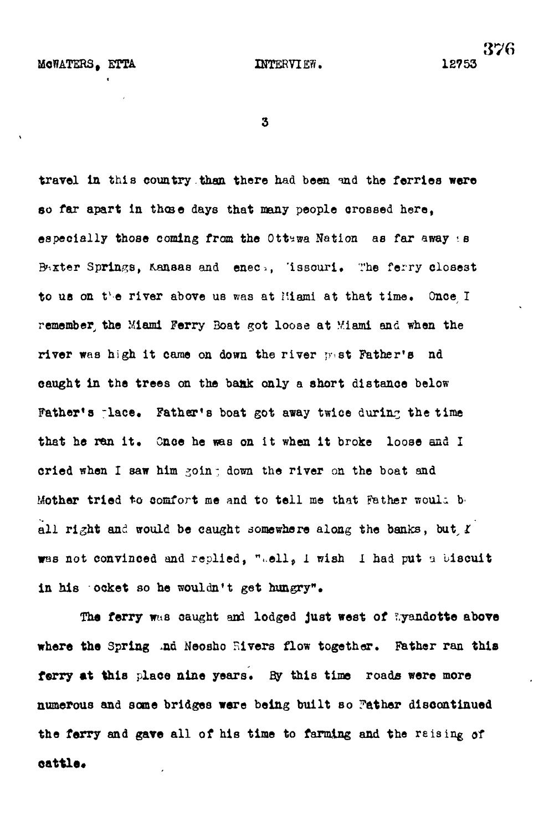$\overline{\mathbf{3}}$ 

travel in this country, than there had been and the ferries were so far apart in these days that many people crossed here. especially those coming from the Ottawa Nation as far away is Barter Springs, Kansas and enec., 'issouri. The ferry closest to us on the river above us was at Miami at that time. Once I remember, the Miami Ferry Boat got loose at Miami and when the river was high it came on down the river pest Father's nd caught in the trees on the bank only a short distance below Father's -lace. Father's boat got away twice during the time that he ran it. Cnse he was on it when it broke loose and I cried when I saw him  $\gcd(n)$  down the river on the boat and Mother tried to comfort me and to tell me that Father would be all right and would be caught somewhere along the banks, but  $$ was not convinced and replied, ".ell, I wish I had put a biscuit in his ocket so he wouldn't get hungry".

The ferry was caught and lodged just west of Eyandotte above where the Spring .nd Neosho Rivers flow together. Father ran this ferry at this place nine years. By this time roads were more numerous and some bridges ware being built so Father discontinued the ferry and gave all of his time to farming and the reising of **cattle.**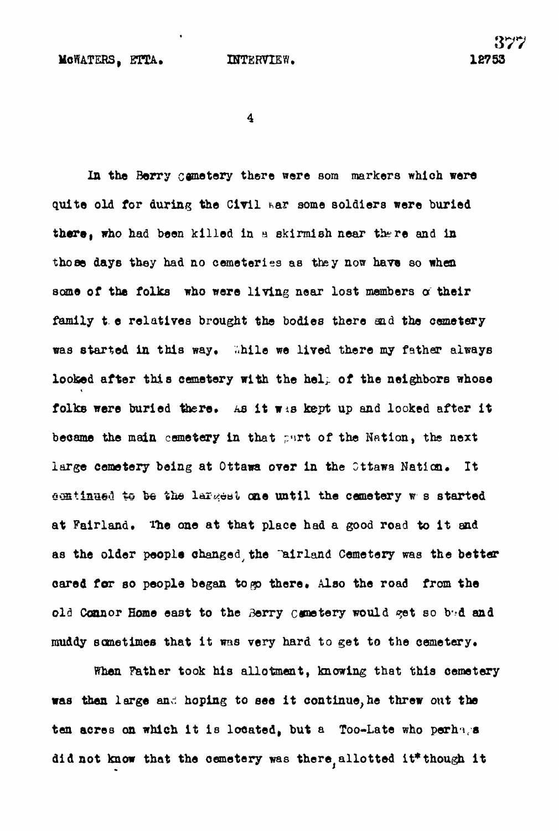$\overline{\mathbf{4}}$ 

In the Berry cametery there were som markers which were quite old for during the Civil war some soldiers were buried there, who had been killed in a skirmish near there and in **those days they had no cemeteries as they now have so when** some of the folks who were living near lost members  $\alpha$  their family t e relatives brought the bodies there sad the cemetery was started in this way. While we lived there my father always looked after this cemetery with the hel<sub>i</sub> of the neighbors whose **folk s were buried there , AS i t wis kept up and looked afte r i t** became the main cemetery in that part of the Nation, the next large cemetery being at Ottawa over in the Ottawa Nation. It sontinued to be the largest one until the cemetery w s started **a t Fairland.** *the* **one a t that plac e had a good road to i t and** as the older people changed, the "airland Cemetery was the better cared for so people began to go there. Also the road from the **old Connor Home east to the Berry cametery would get so bad and** muddy sometimes that it was very hard to get to the cemetery.

**When Father took his allotment, knowing that this cemetery** was then large and hoping to see it continue, he threw out the ten acres on which it is located, but a Too-Late who perha<sub>/s</sub> **did not know that the cemetery was ther e allotte d it\*though i t**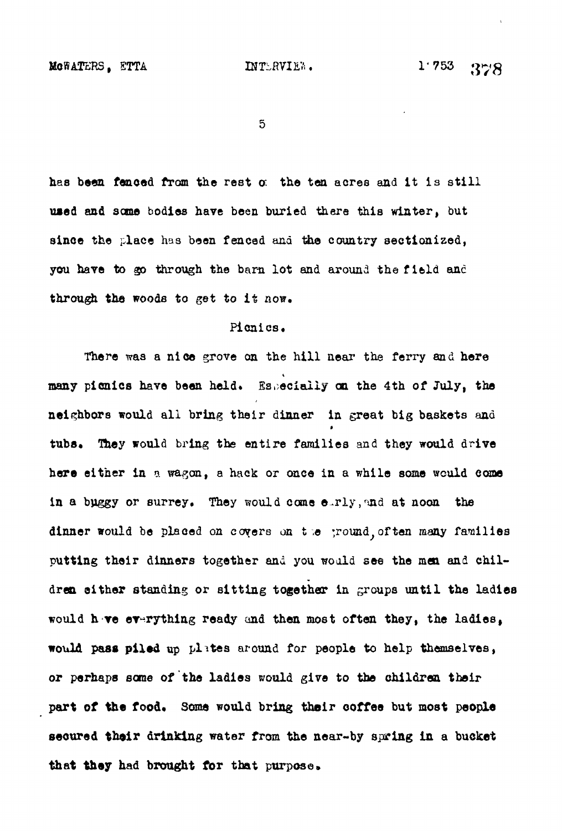$\overline{5}$ 

has been fenced from the rest  $\alpha$  the ten acres and it is still used and some bodies have been buried there this winter, but since the place has been fenced and the country sectionized, you have to go through the barn lot and around the field and through the woods to get to it now.

## Picnics.

There was a nice grove on the hill near the ferry and here many picnics have been held. Especially on the 4th of July, the neighbors would all bring their dinner in great big baskets and tubs. They would bring the entire families and they would drive here either in a wagon, a hack or once in a while some would come in a buggy or surrey. They would come eirly, and at noon the dinner would be placed on covers on the pround, often many families putting their dinners together and you woald see the men and children either standing or sitting together in groups until the ladies would h ve everything ready and then most often they, the ladies, would pass piled up plates around for people to help themselves, *or* perhaps some of the ladies would give to the children their part of the food. Some would bring their coffee but most people secured their drinking water from the near-by spring in a bucket that **they** had brought for that purpose»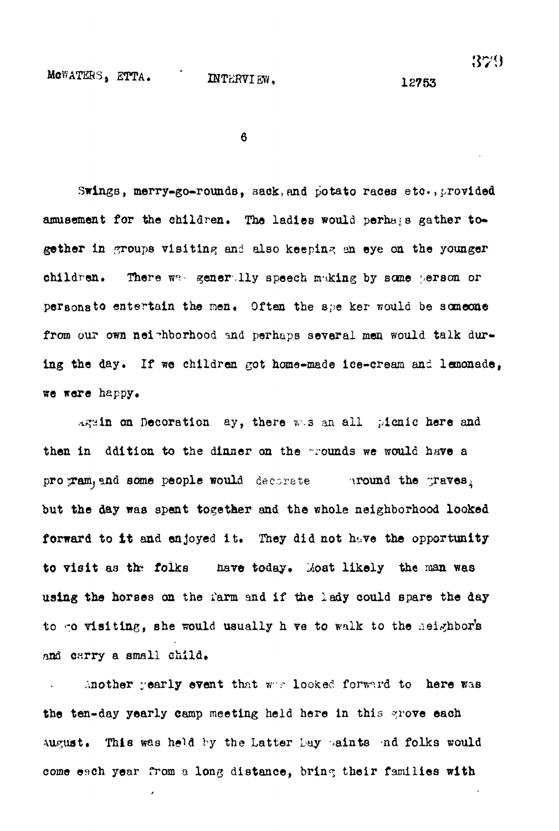6

 $S\$ ings, merry-go-rounds, sack, and potato races etc., provided amusement for the children. The ladies would perhajs gather together in groups visiting and also keeping on eye on the younger children. There was generally speech making by some person or persons to entertain the men. Often the spe ker would be someone from our own neighborhood and perhaps several men would talk during the day. If we children got home-made ice-cream and lemonade, we were happy,

Again on Decoration ay, there wis an all picnic here and then in ddition to the dinner on the -rounds we would have a pro  $r$ am, and some people would decorate  $\sim$  around the  $\gamma$ aves, but the day waa spent together and the whole neighborhood looked forward to it and enjoyed it. They did not have the opportunity to visit as tte folks have today# *Aoat* likely the man was using the horses on the farm and if the lady could spare the day to go visiting, she would usually h ve to walk to the neighbor's and carry a small child.

Another yearly event that wer looked forward to here was the ten-day yearly camp meeting held here in this grove each August. This was held by the Latter Day baints ind folks would come each year from a long distance, bring their families with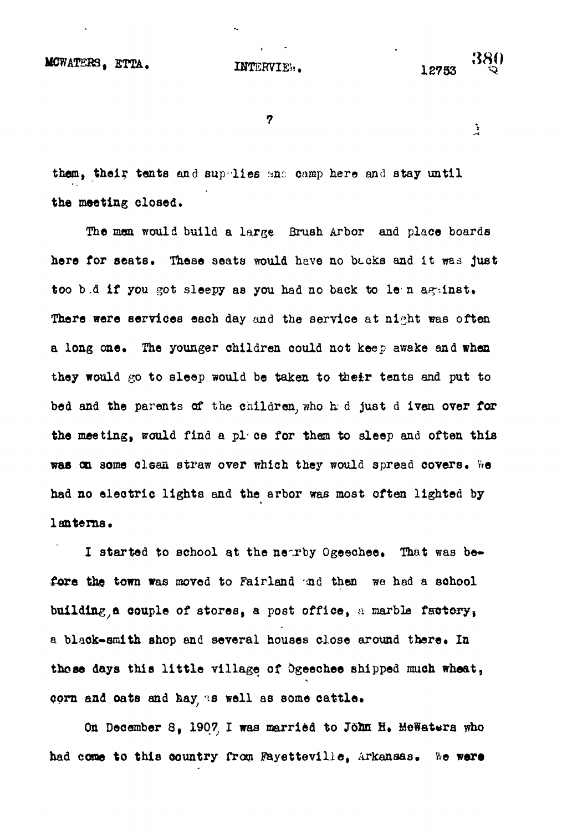$\mathbf{r}$ 

 $\overline{7}$ 

them, their tents and supplies and camp here and stay until **the mooting closed.**

**The men would build a large Brush Arbor and place boards** here for seats. These seats would have no backs and it was just too b .d if you got sleepy as you had no back to le n against. There were services each day and the service at night was often **a long one. The younger children could not keep awake and when they would go to sleep would be taken to their tents and put to bed and the parents of the children, nho k d just d iven over for** the meeting, would find a plece for them to sleep and often this was on some clean straw over which they would spread covers. We **had no electric lights and the arbor was most often lighted by** lanterns.

**I started to school at the nearby Ogeechee. That was be**fore the town was moved to Fairland ad then we had a school **building,a couple of stores, a post office, a marble factory,** a black-smith shop and several houses close around there. In **those days this little village of Ogeechee shipped much wheat, corn and oats and hay, '.s well as some cattle\***

On December 8, 1907, I was married to John H. MeWaters who **had come to this country from Fayetteville, Arkansas. We wero**